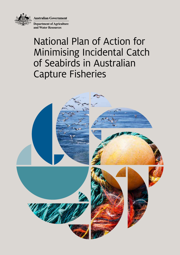**Australian Government** 



**Department of Agriculture and Water Resources**

# National Plan of Action for Minimising Incidental Catch of Seabirds in Australian Capture Fisheries

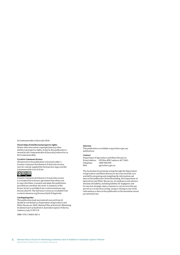© Commonwealth of Australia 2018

#### **Ownership of intellectual property rights**

Unless otherwise noted, copyright (and any other intellectual property rights, if any) in this publication is owned by the Commonwealth of Australia (referred to as the Commonwealth).

#### **Creative Commons licence**

All material in this publication is licensed under a Creative Commons Attribution 4.0 Australia Licence, save for content supplied by third parties, logos and the Commonwealth Coat of Arms.



Creative Commons Attribution 4.0 Australia Licence is a standard form licence agreement that allows you to copy, distribute, transmit and adapt this publication provided you attribute the work. A summary of the licence terms is available from creativecommons.org/ licenses/by/4.0. The full licence terms are available from creativecommons.org/licenses/by/4.0/legalcode.

#### **Cataloguing data**

This publication (and any material sourced from it) should be attributed as: Department of Agriculture and Water Resources 2018, *National Plan of Action for Minimising Incidental Catch of Seabirds in Australian Capture Fisheries*, Canberra, July. CC BY 4.0.

ISBN: 978-1-76003-182-4

#### **Internet**

This publication is available at [agriculture.gov.au/](http://agriculture.gov.au/publications) [publications](http://agriculture.gov.au/publications).

#### **Contact**

Department of Agriculture and Water Resources Postal address GPO Box 858 Canberra ACT 2601<br>Telephone 1800 900 090 Telephone<br>Web agriculture.gov.au

The Australian Government acting through the Department of Agriculture and Water Resources has exercised due care and skill in preparing and compiling the information and data in this publication. Notwithstanding, the Department of Agriculture and Water Resources, its employees and advisers disclaim all liability, including liability for negligence and for any loss, damage, injury, expense or cost incurred by any person as a result of accessing, using or relying on any of the information or data in this publication to the maximum extent permitted by law.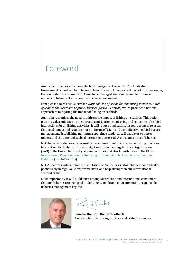## Foreword

Australian fisheries are among the best managed in the world. The Australian Government is working hard to keep them this way. An important part of this is ensuring that our fisheries resources continue to be managed sustainably and to minimise impacts of fishing activities on the marine environment.

I am pleased to release Australia's *National Plan of Action for Minimising Incidental Catch of Seabirds in Australian Capture Fisheries* (NPOA–Seabirds) which provides a national approach to mitigating the impact of fishing on seabirds.

Australia recognises the need to address the impact of fishing on seabirds. This action plan provides guidance on best-practice mitigation, monitoring and reporting of seabird interactions for all fishing activities. It will reduce duplication, target responses to areas that need it most and result in more uniform, efficient and cost-effective seabird bycatch management. Establishing minimum reporting standards will enable us to better understand the extent of seabird interactions across all Australia's capture fisheries.

NPOA–Seabirds demonstrates Australia's commitment to sustainable fishing practices internationally. It also fulfils our obligation to Food and Agriculture Organization (FAO) of the United Nations by aligning our national efforts with those of the FAO's [International Plan of Action for Reducing Incidental Catch of Seabirds in Longline](http://www.fao.org/fishery/ipoa-seabirds/legal-text/en)  [Fisheries](http://www.fao.org/fishery/ipoa-seabirds/legal-text/en) (IPOA–Seabirds).

NPOA-seabirds will enhance the reputation of Australia's sustainable seafood industry, particularly in high-value export markets, and help strengthen our international seafood brand.

Most importantly, it will build trust among Australians and international consumers that our fisheries are managed under a sustainable and environmentally responsible fisheries management regime.



Kild Colark

**Senator the Hon. Richard Colbeck** Assistant Minister for Agriculture and Water Resources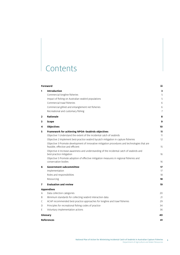## **Contents**

|                       | Foreword                                                                                                                                                                                                                                                                                                                                                                                                                                                                                                                                                                                         |                                              |
|-----------------------|--------------------------------------------------------------------------------------------------------------------------------------------------------------------------------------------------------------------------------------------------------------------------------------------------------------------------------------------------------------------------------------------------------------------------------------------------------------------------------------------------------------------------------------------------------------------------------------------------|----------------------------------------------|
| 1<br>$\overline{2}$   | <b>Introduction</b><br>Commercial longline fisheries<br>Impact of fishing on Australian seabird populations<br>Commercial trawl fisheries<br>Commercial gillnet and entanglement net fisheries<br>Recreational and customary fishing<br><b>Rationale</b>                                                                                                                                                                                                                                                                                                                                         | 3<br>5<br>5<br>6<br>6<br>$\overline{7}$<br>8 |
| 3.                    | Scope                                                                                                                                                                                                                                                                                                                                                                                                                                                                                                                                                                                            | 9                                            |
| 4                     | <b>Objectives</b>                                                                                                                                                                                                                                                                                                                                                                                                                                                                                                                                                                                | 10                                           |
| 5                     | Framework for achieving NPOA-Seabirds objectives<br>Objective 1 Understand the extent of the incidental catch of seabirds<br>Objective 2 Implement best-practice seabird bycatch mitigation in capture fisheries<br>Objective 3 Promote development of innovative mitigation procedures and technologies that are<br>feasible, effective and efficient<br>Objective 4 Increase awareness and understanding of the incidental catch of seabirds and<br>best-practice mitigation<br>Objective 5 Promote adoption of effective mitigation measures in regional fisheries and<br>conservation bodies | 11<br>11<br>12<br>15<br>16<br>16             |
| 6                     | <b>Government subcommittee</b><br>Implementation<br>Roles and responsibilities<br>Resourcing                                                                                                                                                                                                                                                                                                                                                                                                                                                                                                     | 17<br>17<br>18<br>18                         |
| 7                     | <b>Evaluation and review</b>                                                                                                                                                                                                                                                                                                                                                                                                                                                                                                                                                                     | 19                                           |
|                       | <b>Appendixes</b>                                                                                                                                                                                                                                                                                                                                                                                                                                                                                                                                                                                |                                              |
| Α<br>B<br>C<br>D<br>E | Data collection categories<br>Minimum standards for collecting seabird interaction data<br>ACAP recommended best-practice approaches for longline and trawl fisheries<br>Principles for recreational fishing codes of practice<br>Voluntary implementation actions                                                                                                                                                                                                                                                                                                                               | 20<br>21<br>29<br>34<br>36                   |
|                       | Glossary                                                                                                                                                                                                                                                                                                                                                                                                                                                                                                                                                                                         | 40                                           |
|                       | <b>References</b>                                                                                                                                                                                                                                                                                                                                                                                                                                                                                                                                                                                | 41                                           |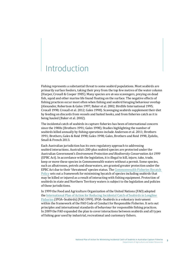## <span id="page-6-0"></span>Introduction

Fishing represents a substantial threat to some seabird populations. Most seabirds are primarily surface feeders, taking their prey from the top few metres of the water column (Harper, Croxall & Cooper 1985). Many species are at-sea scavengers, preying on dead fish, squid and other marine life found floating on the surface. The negative effects of fishing practices occur most often when fishing and seabird foraging behaviour overlap (Alexander, Robertson & Gales 1997; Baker et al. 2002; Birdlife International 1995; Croxall 1998; Croxall et al. 2012; Gales 1998). Scavenging seabirds supplement their diet by feeding on discards from vessels and baited hooks, and from fisheries catch as it is being hauled (Baker et al. 2002).

The incidental catch of seabirds in capture fisheries has been of international concern since the 1980s (Brothers 1991; Gales 1998). Studies highlighting the number of seabirds killed annually by fishing operations include Anderson et al. 2011; Brothers 1991; Brothers, Gales & Reid 1998; Gales 1998; Gales, Brothers and Reid 1998, Zydelis, Small & French 2013.

Each Australian jurisdiction has its own regulatory approach to addressing seabird interactions. Australia's 200-plus seabird species are protected under the Australian Government's *Environment Protection and Biodiversity Conservation Act 1999*  (EPBC Act). In accordance with the legislation, it is illegal to kill, injure, take, trade, keep or move these species in Commonwealth waters without a permit. Some species, such as albatrosses, petrels and shearwaters, are granted greater protection under the EPBC Act due to their 'threatened' species status. The [Commonwealth Fisheries Bycatch](http://www.agriculture.gov.au/fisheries/environment/bycatch/review)  [Policy](http://www.agriculture.gov.au/fisheries/environment/bycatch/review) sets out a framework for minimising bycatch of species including seabirds that may be killed or injured as a result of interacting with fishing equipment. Protection of seabirds in state and Northern Territory waters is subject to the legislation and policies of those jurisdictions.

In 1999 the Food and Agriculture Organization of the United Nations (FAO) adopted the [International Plan of Action for Reducing Incidental Catch of Seabirds in Longline](http://www.fao.org/fishery/ipoa-seabirds/legal-text/en)  [Fisheries](http://www.fao.org/fishery/ipoa-seabirds/legal-text/en) (IPOA–Seabirds) (FAO 1999). IPOA–Seabirds is a voluntary instrument within the framework of the FAO Code of Conduct for Responsible Fisheries. It sets out principles and international standards of behaviour for responsible fishing practices. In 2009 the FAO expanded the plan to cover interactions between seabirds and all types of fishing gear used by industrial, recreational and customary fishers.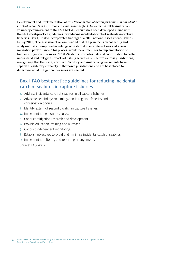Development and implementation of this *National Plan of Action for Minimising Incidental Catch of Seabirds in Australian Capture Fisheries* (NPOA–Seabirds) fulfils Australia's voluntary commitment to the FAO. NPOA–Seabirds has been developed in line with the FAO's best-practice guidelines for reducing incidental catch of seabirds in capture fisheries ([Box 1\)](#page-7-0). It also incorporates findings of a 2013 national assessment (Baker & Finley 2013). The assessment recommended that the plan focus on collecting and analysing data to improve knowledge of seabird–fishery interactions and assess mitigation performance. This process would be a precursor to implementation of further mitigation measures. NPOA–Seabirds promotes national coordination to better understand and mitigate impacts of fishing activities on seabirds across jurisdictions, recognising that the state, Northern Territory and Australian governments have separate regulatory authority in their own jurisdictions and are best placed to determine what mitigation measures are needed.

### <span id="page-7-0"></span>**Box 1** FAO best-practice guidelines for reducing incidental catch of seabirds in capture fisheries

- 1. Address incidental catch of seabirds in all capture fisheries.
- 2. Advocate seabird bycatch mitigation in regional fisheries and conservation bodies.
- 3. Identify extent of seabird bycatch in capture fisheries.
- 4. Implement mitigation measures.
- 5. Conduct mitigation research and development.
- 6. Provide education, training and outreach.
- 7. Conduct independent monitoring.
- 8. Establish objectives to avoid and minimise incidental catch of seabirds.
- 9. Implement monitoring and reporting arrangements.

Source: FAO 2009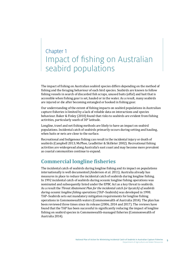## <span id="page-8-0"></span>Chapter 1 Impact of fishing on Australian seabird populations

The impact of fishing on Australian seabird species differs depending on the method of fishing and the foraging behaviour of each bird species. Seabirds are known to follow fishing vessels in search of discarded fish scraps, unused baits (offal) and bait that is accessible when fishing gear is set, hauled or in the water. As a result, many seabirds are injured or die after becoming entangled or hooked in fishing gear.

Our understanding of the extent of fishing impacts on seabird populations in Australian capture fisheries is limited by a lack of reliable data on interactions and species behaviour. Baker & Finley (2010) found that risks to seabirds are evident from fishing activities, particularly south of 30° latitude.

Longline, trawl and net fishing methods are likely to have an impact on seabird populations. Incidental catch of seabirds primarily occurs during setting and hauling, when baits or nets are close to the surface.

Recreational and Indigenous fishing can result in the incidental injury or death of seabirds (Campbell 2013; McPhee, Leadbitter & Skilleter 2002). Recreational fishing activities are widespread along Australia's east coast and may become more prevalent as coastal communities continue to expand.

### **Commercial longline fisheries**

The incidental catch of seabirds during longline fishing and its impact on populations internationally is well documented (Anderson et al. 2011). Australia already has measures in place to reduce the incidental catch of seabirds during longline fishing. In 1992 incidental catch of seabirds during oceanic longline fishing operations was nominated and subsequently listed under the EPBC Act as a key threat to seabirds. As a result the *Threat Abatement Plan for the incidental catch (or bycatch) of seabirds during oceanic longline fishing operations* (TAP–Seabirds) was developed in 1998. TAP–Seabirds sets out mandatory mitigation requirements for longline fishing operations in Commonwealth waters (Commonwealth of Australia 2014). The plan has been reviewed three times since its release (2006, 2014 and 2017). The reviews have found that the TAP has been successful in significantly reducing the impact of longline fishing on seabird species in Commonwealth-managed fisheries (Commonwealth of Australia 2014).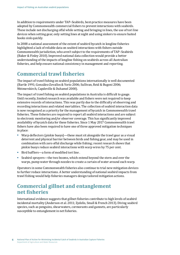<span id="page-9-0"></span>In addition to requirements under TAP–Seabirds, best-practice measures have been adopted by Commonwealth commercial fishers to prevent interactions with seabirds. These include not discharging offal while setting and bringing in lines, the use of tori line devices when setting gear, only setting lines at night and using sinkers to ensure baited hooks sink quickly.

In 2008 a national assessment of the extent of seabird bycatch in longline fisheries highlighted a lack of reliable data on seabird interactions with fishers outside Commonwealth jurisdiction, who aren't subject to the requirements of TAP–Seabirds (Baker & Finley 2010). Improved national data collection would provide a better understanding of the impacts of longline fishing on seabirds across all Australian fisheries, and help ensure national consistency in management and reporting.

### **Commercial trawl fisheries**

The impact of trawl fishing on seabird populations internationally is well documented (Bartle 1991; González-Zevallos & Yorio 2006; Sullivan, Reid & Bugoni 2006; Weimerskirch, Capdeville & Duhamel 2000).

The impact of trawl fishing on seabird populations in Australia is difficult to gauge. Until recently, limited research was available and fishers were not required to keep extensive records of interactions. This was partly due to the difficulty of observing and recording interactions and related mortalities. The collection of seabird interaction data is now recognised as a priority for the management of bycatch in Commonwealth trawl fisheries. These fisheries are required to report all seabird interactions and are subject to electronic monitoring and/or observer coverage. This has significantly improved availability of bycatch data for these fisheries. Since 1 May 2017 Commonwealth trawl fishers have also been required to have one of three approved mitigation techniques in place:

- Warp deflectors (pinkie buoys)—these must sit alongside the trawl gear as a visual deterrent and physical barrier between birds and fishing gear, and may be used in combination with zero offal discharge while fishing; recent research shows that pinkie buoys reduce seabird interactions with warp wires by 75 per cent.
- Bird bafflers—a form of modified tori line .
- Seabird sprayers—the two booms, which extend beyond the stern and over the warps, pump water through nozzles to create a curtain of water around each warp.

Operators in some Commonwealth fisheries also continue to trial new mitigation devices to further reduce interactions. A better understanding of national seabird impacts from trawl fishing would help fisheries managers design tailored mitigation actions.

### **Commercial gillnet and entanglement net fisheries**

International evidence suggests that gillnet fisheries contribute to high levels of seabird incidental mortality (Anderson et al. 2011; Zydelis, Small & French 2013). Diving seabird species, such as penguins, shearwaters, cormorants and gannets, are particularly susceptible to entanglement in net fisheries.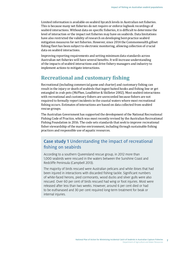<span id="page-10-0"></span>Limited information is available on seabird bycatch levels in Australian net fisheries. This is because many net fisheries do not require or enforce logbook recordings of seabird interactions. Without data on specific fisheries, it is difficult to determine the level of interaction or the impact net fisheries may have on seabirds. Data limitations have also restricted the validity of research on developing best-practice seabird mitigation measures for net fisheries. However, since 2014 the Commonwealth gillnet fishing fleet has been subject to electronic monitoring, allowing collection of crucial data on seabird interactions.

Improving reporting requirements and setting minimum data standards across Australian net fisheries will have several benefits. It will increase understanding of the impacts of seabird interactions and drive fishery managers and industry to implement actions to mitigate interactions.

### **Recreational and customary fishing**

Recreational (including commercial game and charter) and customary fishing can result in the injury or death of seabirds that ingest baited hooks and fishing line or get entangled in crab pots (McPhee, Leadbitter & Skilleter 2002). Most seabird interactions with recreational and customary fishers are unrecorded because fishers are not required to formally report incidents in the coastal waters where most recreational fishing occurs. Estimates of interactions are based on data collected from seabird rescue groups.

The Australian Government has supported the development of the National Recreational Fishing Code of Practice, which was most recently revised by the Australian Recreational Fishing Foundation in 2016. The code sets standards that seek to improve recreational fisher stewardship of the marine environment, including through sustainable fishing practices and responsible use of aquatic resources.

### **Case study 1** Understanding the impact of recreational fishing on seabirds

According to a southern Queensland rescue group, in 2012 more than 1,000 seabirds were rescued in the waters between the Sunshine Coast and Redcliffe Peninsula (Campbell 2013).

The majority of birds rescued were Australian pelicans and white ibises that had been injured in interactions with discarded fishing tackle. Significant numbers of white-faced herons, pied cormorants, wood ducks and silver gulls were also rescued. Over 60 per cent of birds rescued had wing or foot injuries. Most were released after less than two weeks. However, around 6 per cent died or had to be euthanased and 30 per cent required long-term treatment for beak or internal injuries.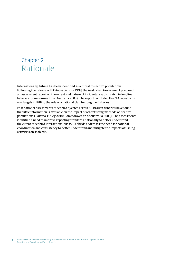## <span id="page-11-0"></span>Chapter 2 Rationale

Internationally, fishing has been identified as a threat to seabird populations. Following the release of IPOA–Seabirds in 1999, the Australian Government prepared an assessment report on the extent and nature of incidental seabird catch in longline fisheries (Commonwealth of Australia 2003). The report concluded that TAP–Seabirds was largely fulfilling the role of a national plan for longline fisheries.

Past national assessments of seabird bycatch across Australian fisheries have found that little information is available on the impact of other fishing methods on seabird populations (Baker & Finley 2010; Commonwealth of Australia 2003). The assessments identified a need to improve reporting standards nationally to better understand the extent of seabird interactions. NPOA–Seabirds addresses the need for national coordination and consistency to better understand and mitigate the impacts of fishing activities on seabirds.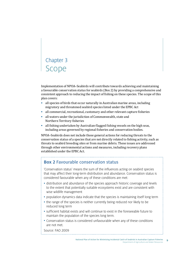## <span id="page-12-0"></span>Chapter 3 Scope

Implementation of NPOA–Seabirds will contribute towards achieving and maintaining a favourable conservation status for seabirds (Box 2) by providing a comprehensive and consistent approach to reducing the impact of fishing on these species. The scope of this plan covers:

- all species of birds that occur naturally in Australian marine areas, including migratory and threatened seabird species listed under the EPBC Act
- all commercial, recreational, customary and other relevant capture fisheries
- all waters under the jurisdiction of Commonwealth, state and Northern Territory fisheries
- all fishing undertaken by Australian-flagged fishing vessels on the high seas, including areas governed by regional fisheries and conservation bodies.

NPOA–Seabirds does not include those general actions for reducing threats to the conservation status of a species that are not directly related to fishing activity, such as threats to seabird breeding sites or from marine debris. These issues are addressed through other environmental actions and measures, including recovery plans established under the EPBC Act.

#### **Box 2** Favourable conservation status

'Conservation status' means the sum of the influences acting on seabird species that may affect their long-term distribution and abundance. Conservation status is considered favourable when any of these conditions are met:

- distribution and abundance of the species approach historic coverage and levels to the extent that potentially suitable ecosystems exist and are consistent with wise wildlife management
- population dynamics data indicate that the species is maintaining itself long term
- the range of the species is neither currently being reduced nor likely to be reduced long term
- sufficient habitat exists and will continue to exist in the foreseeable future to maintain the population of the species long term.
- Conservation status is considered unfavourable when any of these conditions are not met.

Source: FAO 2009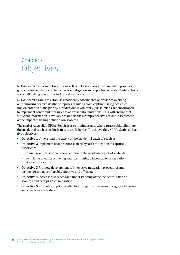## <span id="page-13-0"></span>Chapter 4 **Objectives**

NPOA–Seabirds is a voluntary measure. It is not a regulatory instrument. It provides guidance for regulators on best-practice mitigation and reporting of seabird interactions across all fishing operations in Australian waters.

NPOA–Seabirds aims to establish a nationally coordinated approach to avoiding or minimising seabird deaths or injuries resulting from capture fishing activities. Implementation of the plan by jurisdictions is voluntary. Jurisdictions are encouraged to implement consistent measures to address data limitations. This will ensure that sufficient information is available to undertake a comprehensive national assessment of the impact of fishing activities on seabirds.

The goal of Australia's NPOA–Seabirds is to minimise and, where practicable, eliminate the incidental catch of seabirds in capture fisheries. To achieve this, NPOA–Seabirds has five objectives:

- **Objective 1** Understand the extent of the incidental catch of seabirds.
- **Objective 2** Implement best-practice seabird bycatch mitigation in capture fisheries to
	- minimise or, where practicable, eliminate the incidental catch of seabirds
	- contribute towards achieving and maintaining a favourable conservation status for seabirds.
- **Objective 3** Promote development of innovative mitigation procedures and technologies that are feasible, effective and efficient.
- **Objective 4** Increase awareness and understanding of the incidental catch of seabirds and best-practice mitigation.
- **Objective 5** Promote adoption of effective mitigation measures in regional fisheries and conservation bodies.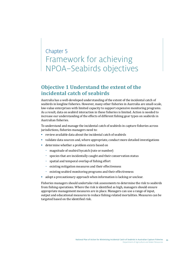## <span id="page-14-0"></span>Chapter 5 Framework for achieving NPOA–Seabirds objectives

### **Objective 1 Understand the extent of the incidental catch of seabirds**

Australia has a well-developed understanding of the extent of the incidental catch of seabirds in longline fisheries. However, many other fisheries in Australia are small-scale, low-value enterprises with limited capacity to support expensive monitoring programs. As a result, data on seabird interaction in these fisheries is limited. Action is needed to increase our understanding of the effects of different fishing gear types on seabirds in Australian fisheries.

To understand and manage the incidental catch of seabirds in capture fisheries across jurisdictions, fisheries managers need to:

- review available data about the incidental catch of seabirds
- validate data sources and, where appropriate, conduct more detailed investigations
- determine whether a problem exists based on
	- magnitude of seabird bycatch (rate or number)
	- species that are incidentally caught and their conservation status
	- spatial and temporal overlap of fishing effort
	- existing mitigation measures and their effectiveness
	- existing seabird monitoring programs and their effectiveness
- adopt a precautionary approach when information is lacking or unclear.

Fisheries managers should undertake risk assessments to determine the risk to seabirds from fishing operations. Where the risk is identified as high, managers should ensure appropriate management measures are in place. Managers can use a range of input, output and educational measures to reduce fishing-related mortalities. Measures can be targeted based on the identified risk.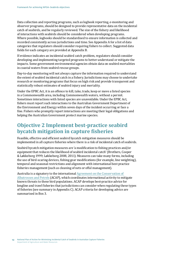<span id="page-15-0"></span>Data collection and reporting programs, such as logbook reporting, e-monitoring and observer programs, should be designed to provide representative data on the incidental catch of seabirds, and be regularly reviewed. The size of the fishery and likelihood of interactions with seabirds should be considered when developing programs. Where possible, logbooks should be standardised to ensure information is collected and recorded consistently across jurisdictions and time. See Appendix A for a list of data categories that regulators should consider requiring fishers to collect. Suggested data fields for each category are provided at Appendix B.

If evidence indicates an incidental seabird catch problem, regulators should consider developing and implementing targeted programs to better understand or mitigate the impacts. Some government environmental agencies obtain data on seabird mortalities in coastal waters from seabird rescue groups.

Day-to-day monitoring will not always capture the information required to understand the extent of seabird incidental catch in a fishery. Jurisdictions may choose to undertake research or monitoring programs that focus on high risk and provide transparent and statistically robust estimates of seabird injury and mortality.

Under the EPBC Act, it is an offence to kill, take, trade, keep or move a listed species in a Commonwealth area, including Commonwealth waters, without a permit. Sometimes interactions with listed species are unavoidable. Under the EPBC Act, fishers must report such interactions to the Australian Government Department of the Environment and Energy within seven days of the incident occurring or face a fine. Fishers who promptly report interactions are meeting their legal obligations and helping the Australian Government protect marine species.

### **Objective 2 Implement best-practice seabird bycatch mitigation in capture fisheries**

Feasible, effective and efficient seabird bycatch mitigation measures should be implemented in all capture fisheries where there is a risk of incidental catch of seabirds.

Seabird bycatch mitigation measures are 'a modification to fishing practices and/or equipment that reduces the likelihood of seabird incidental catch' (Brothers, Cooper & Løkkeborg 1999; Løkkeborg 2008, 2011). Measures can take many forms, including the use of bird-scaring devices, fishing gear modifications (for example, line weighting), temporal and seasonal restrictions and alignment with international best practice fisheries management (such as cleaning of nets or offal management).

Australia is a signatory to the international [Agreement on the Conservation of](https://acap.aq/)  [Albatrosses and Petrels](https://acap.aq/) (ACAP), which coordinates international activity to mitigate known threats to these bird populations. ACAP develops best-practice advice for longline and trawl fisheries that jurisdictions can consider when regulating these types of fisheries (see summary in Appendix C). ACAP criteria for developing advice are summarised in Box 3.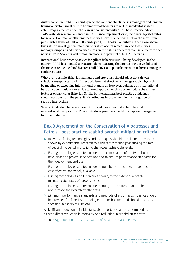Australia's current TAP–Seabirds prescribes actions that fisheries managers and longline fishing operators must take in Commonwealth waters to reduce incidental seabird catch. Requirements under the plan are consistent with ACAP best-practice advice. TAP–Seabirds was implemented in 1998. Since implementation, incidental bycatch rates for several Commonwealth longline fisheries have dropped well below the maximum permissible levels of 0.01 or 0.05 birds per 1,000 hooks. For fisheries that score above this rate, an investigation into their operators occurs which can lead to fisheries managers imposing additional measures on the fishing operators to ensure the rate does not rise. TAP–Seabirds will remain in place, independent of NPOA–Seabirds.

International best-practice advice for gillnet fisheries is still being developed. In the interim, ACAP has pointed to research demonstrating that increasing the visibility of the net can reduce seabird bycatch (Bull 2007), as a particle measure fisheries managers could regulate.

Wherever possible, fisheries managers and operators should adopt data-driven solutions—supported by in-fishery trials—that effectively manage seabird bycatch by meeting or exceeding international standards. However, guidance on international best practice should not override tailored approaches that accommodate the unique features of particular fisheries. Similarly, international best-practice guidelines should not constrain the pursuit of continuous improvement in the mitigation of seabird interactions.

Several Australian fisheries have introduced measures that extend beyond international best practice. These initiatives provide a model of adaptive management for other fisheries.

### **Box 3** Agreement on the Conservation of Albatrosses and Petrels—best-practice seabird bycatch mitigation criteria

- 1. Individual fishing technologies and techniques should be selected from those shown by experimental research to significantly reduce [statistically] the rate of seabird incidental mortality to the lowest achievable levels.
- 2. Fishing technologies and techniques, or a combination of the two, should have clear and proven specifications and minimum performance standards for their deployment and use.
- 3. Fishing technologies and techniques should be demonstrated to be practical, cost-effective and widely available.
- 4. Fishing technologies and techniques should, to the extent practicable, maintain catch rates of target species.
- 5. Fishing technologies and techniques should, to the extent practicable, not increase the bycatch of other taxa.
- 6. Minimum performance standards and methods of ensuring compliance should be provided for fisheries technologies and techniques, and should be clearly specified in fishery regulations.

A significant reduction in incidental seabird mortality can be determined by either a direct reduction in mortality or a reduction in seabird attack rates.

Source: [Agreement on the Conservation of Albatrosses and Petrels](https://acap.aq/)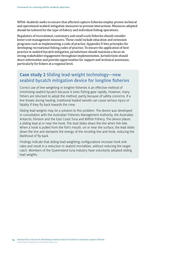NPOA–Seabirds seeks to ensure that affected capture fisheries employ proven technical and operational seabird mitigation measures to prevent interactions. Measures adopted should be tailored for the type of fishery and individual fishing operations.

Regulators of recreational, customary and small-scale fisheries should consider lower-cost management measures. These could include education and extension programs such as implementing a code of practice. Appendix D lists principles for developing recreational fishing codes of practice. To ensure the application of best practice in seabird bycatch mitigation, jurisdictions should maintain a focus on strong stakeholder engagement throughout implementation. Jurisdictions should share information and provide opportunities for support and technical assistance, particularly for fishers at a regional level.

### **Case study 2** Sliding lead-weight technology—new seabird bycatch mitigation device for longline fisheries

Correct use of line-weighting in longline fisheries is an effective method of minimising seabird bycatch because it sinks fishing gear rapidly. However, many fishers are reluctant to adopt the method, partly because of safety concerns. If a line breaks during hauling, traditional leaded swivels can cause serious injury or fatality if they fly back towards the crew.

Sliding lead weights may be a solution to this problem. The device was developed in consultation with the Australian Fisheries Management Authority, the Australian Antarctic Division and the East Coast Tuna and Billfish Fishery. The device places a sliding lead at or near the hook. The lead slides down the line when fish bite. When a hook is pulled from the fish's mouth, on or near the surface, the lead slides down the line and dampens the energy of the recoiling line and hook, reducing the likelihood of fly-back.

Findings indicate that sliding lead-weighting configurations increase hook sink rates and result in a reduction in seabird mortalities, without reducing the target catch. Members of the Queensland tuna industry have voluntarily adopted sliding lead weights.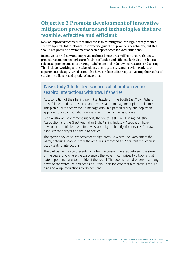### <span id="page-18-0"></span>**Objective 3 Promote development of innovative mitigation procedures and technologies that are feasible, effective and efficient**

New or improved technical measures for seabird mitigation can significantly reduce seabird bycatch. International best-practice guidelines provide a benchmark, but this should not preclude development of better approaches for local situations.

Incentives to trial new and improved technical measures will help ensure that new procedures and technologies are feasible, effective and efficient. Jurisdictions have a role in supporting and encouraging stakeholder and industry-led research and testing. This includes working with stakeholders to mitigate risks and providing advice on experimental design. Jurisdictions also have a role in effectively converting the results of studies into fleet-based uptake of measures.

#### **Case study 3** Industry–science collaboration reduces seabird interactions with trawl fisheries

As a condition of their fishing permit all trawlers in the South East Trawl Fishery must follow the directions of an approved seabird management plan at all times. This plan directs each vessel to manage offal in a particular way and deploy an approved physical mitigation device when fishing in daylight hours.

With Australian Government support, the South East Trawl Fishing Industry Association and the Great Australian Bight Fishing Industry Association have developed and trialled two effective seabird bycatch mitigation devices for trawl fisheries: the sprayer and the bird baffler.

The sprayer device sprays seawater at high pressure where the warp enters the water, deterring seabirds from the area. Trials recorded a 92 per cent reduction in warp–seabird interactions.

The bird baffler device prevents birds from accessing the area between the stern of the vessel and where the warp enters the water. It comprises two booms that extend perpendicular to the side of the vessel. The booms have droppers that hang down to the water line and act as a curtain. Trials indicate that bird bafflers reduce bird and warp interactions by 96 per cent.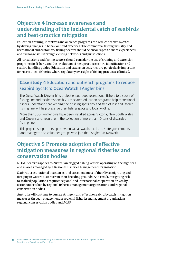### <span id="page-19-0"></span>**Objective 4 Increase awareness and understanding of the incidental catch of seabirds and best-practice mitigation**

Education, training, incentives and outreach programs can reduce seabird bycatch by driving changes in behaviour and practices. The commercial fishing industry and recreational and customary fishing sectors should be encouraged to share experiences and exchange skills through existing networks and jurisdictions.

All jurisdictions and fishing sectors should consider the use of training and extension programs for fishers, and the production of best-practice seabird identification and seabird handling guides. Education and extension activities are particularly important for recreational fisheries where regulatory oversight of fishing practices is limited.

#### **Case study 4** Education and outreach programs to reduce seabird bycatch: OceanWatch TAngler bins

The OceanWatch TAngler bins project encourages recreational fishers to dispose of fishing line and tackle responsibly. Associated education programs help recreational fishers understand that keeping their fishing spots tidy and free of lost and littered fishing line will help preserve their fishing spots and local wildlife.

More than 300 TAngler bins have been installed across Victoria, New South Wales and Queensland, resulting in the collection of more than 10 tons of discarded fishing line.

This project is a partnership between OceanWatch, local and state governments, land managers and volunteer groups who join the TAngler Bin Network.

### **Objective 5 Promote adoption of effective mitigation measures in regional fisheries and conservation bodies**

NPOA–Seabirds applies to Australian-flagged fishing vessels operating on the high seas and in areas managed by a Regional Fisheries Management Organisation.

Seabirds cross national boundaries and can spend most of their lives migrating and foraging in waters distant from their breeding grounds. As a result, mitigating risk to seabird populations requires regional and international cooperation driven by action undertaken by regional fisheries management organisations and regional conservation bodies.

Australia will continue to pursue stringent and effective seabird bycatch mitigation measures through engagement in regional fisheries management organisations, regional conservation bodies and ACAP.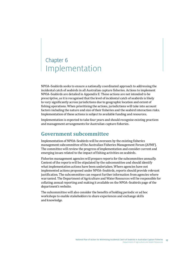## <span id="page-20-0"></span>Chapter 6 Implementation

NPOA–Seabirds seeks to ensure a nationally coordinated approach to addressing the incidental catch of seabirds in all Australian capture fisheries. Actions to implement NPOA–Seabirds are detailed in Appendix E. These actions are not intended to be prescriptive, as it is recognised that the level of incidental catch of seabirds is likely to vary significantly across jurisdictions due to geographic location and extent of fishing operations. When prioritising the actions, jurisdictions will take into account factors including the nature and size of their fisheries and the seabird interaction risks. Implementation of these actions is subject to available funding and resources.

Implementation is expected to take four years and should recognise existing practices and management arrangements for Australian capture fisheries.

### **Government subcommittee**

Implementation of NPOA–Seabirds will be overseen by the existing fisheries management subcommittee of the Australian Fisheries Management Forum (AFMF). The committee will review the progress of implementation and consider current and emerging issues related to the impact of fishing activities on seabirds.

Fisheries management agencies will prepare reports for the subcommittee annually. Content of the reports will be stipulated by the subcommittee and should identify what implementation actions have been undertaken. Where agencies have not implemented actions proposed under NPOA–Seabirds, reports should provide relevant justification. The subcommittee can request further information from agencies where warranted. The Department of Agriculture and Water Resources will be responsible for collating annual reporting and making it available on the NPOA–Seabirds page of the department's website.

The subcommittee will also consider the benefits of holding periodic or ad hoc workshops to enable stakeholders to share experiences and exchange skills and knowledge.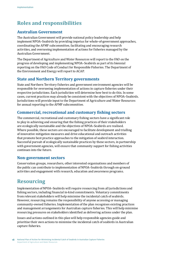## <span id="page-21-0"></span>**Roles and responsibilities**

#### **Australian Government**

The Australian Government will provide national policy leadership and help implement NPOA–Seabirds by providing impetus for whole-of-government approaches, coordinating the AFMF subcommittee, facilitating and encouraging research activities, and overseeing implementation of actions for fisheries managed by the Australian Government.

The Department of Agriculture and Water Resources will report to the FAO on the progress of developing and implementing NPOA–Seabirds as part of its biennial reporting on the FAO Code of Conduct for Responsible Fisheries. The Department of the Environment and Energy will report to ACAP.

#### **State and Northern Territory governments**

State and Northern Territory fisheries and government environment agencies will be responsible for overseeing implementation of actions in capture fisheries under their respective jurisdictions. Each jurisdiction will determine how best to do this. In some cases, current practices may already be consistent with the objectives of NPOA–Seabirds. Jurisdictions will provide input to the Department of Agriculture and Water Resources for annual reporting to the AFMF subcommittee.

#### **Commercial, recreational and customary fishing sectors**

The commercial, recreational and customary fishing sectors have a significant role to play in achieving and ensuring that the fishing practices of their stakeholders are ecologically sustainable and the objectives of NPOA–Seabirds are realised. Where possible, these sectors are encouraged to facilitate development and trialling of innovative mitigation measures and drive educational and outreach activities that promote best practice approaches to the mitigation of seabird interaction. Successful pursuit of ecologically sustainable practices by these sectors, in partnership with government agencies, will ensure that community support for fishing activities continues into the future.

#### **Non-government sectors**

Conservation groups, researchers, other interested organisations and members of the public can contribute to implementation of NPOA–Seabirds through on-ground activities and engagement with research, education and awareness programs.

### **Resourcing**

Implementation of NPOA–Seabirds will require resourcing from all jurisdictions and fishing sectors, including financial in-kind commitments. Voluntary commitments from relevant stakeholders will help minimise the incidental catch of seabirds. However, resourcing remains the responsibility of anyone accessing or managing community-owned fisheries. Implementation of the plan recognises existing practices and management arrangements for Australian capture fisheries. This will help minimise resourcing pressures on stakeholders identified as delivering actions under the plan.

Issues and actions outlined in this plan will help responsible agencies guide and prioritise their own actions to minimise the incidental catch of seabirds in Australian capture fisheries.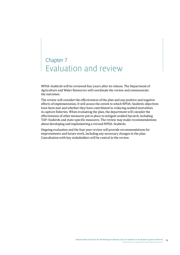## <span id="page-22-0"></span>Chapter 7 Evaluation and review

NPOA–Seabirds will be reviewed four years after its release. The Department of Agriculture and Water Resources will coordinate the review and communicate the outcomes.

The review will consider the effectiveness of the plan and any positive and negative effects of implementation. It will assess the extent to which NPOA–Seabirds objectives have been met and whether they have contributed to reducing seabird mortalities in capture fisheries. When evaluating the plan, the department will consider the effectiveness of other measures put in place to mitigate seabird bycatch, including TAP–Seabirds and state-specific measures. The review may make recommendations about developing and implementing a revised NPOA–Seabirds.

Ongoing evaluation and the four-year review will provide recommendations for improvements and future work, including any necessary changes to the plan. Consultation with key stakeholders will be central to the review.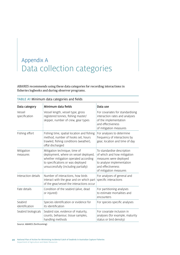## <span id="page-23-0"></span>Appendix A Data collection categories

ABARES recommends using these data categories for recording interactions in fisheries logbooks and during observer programs.

| Data category             | Minimum data fields                                                                                                                                                                          | Data use                                                                                                                                                        |
|---------------------------|----------------------------------------------------------------------------------------------------------------------------------------------------------------------------------------------|-----------------------------------------------------------------------------------------------------------------------------------------------------------------|
| Vessel<br>specification   | Vessel length, vessel type, gross<br>registered tonnes, fishing master/<br>skipper, number of crew, gear types                                                                               | For covariates for standardising<br>interaction rates and analyses<br>of the implementation<br>and effectiveness<br>of mitigation measures                      |
| Fishing effort            | Fishing time, spatial location and fishing<br>method, number of hooks set, hours<br>trawled, fishing conditions (weather),<br>offal discharged                                               | For analyses to determine<br>frequency of interactions by<br>gear, location and time of day                                                                     |
| Mitigation<br>measures    | Mitigation technique, time of<br>deployment, where on vessel deployed,<br>whether mitigation operated according<br>to specifications or was deployed<br>unsuccessfully (including partially) | To standardise description<br>of which and how mitigation<br>measures were deployed<br>to analyse implementation<br>and effectiveness<br>of mitigation measures |
| Interaction details       | Number of interactions, how birds<br>interact with the gear and on which part<br>of the gear/vessel the interactions occur                                                                   | For analyses of general and<br>specific interactions                                                                                                            |
| Fate details              | Condition of the seabird (alive, dead<br>or injured)                                                                                                                                         | For partitioning analyses<br>to estimate mortalities and<br>encounters                                                                                          |
| Seabird<br>identification | Species identification or evidence for<br>its identification                                                                                                                                 | For species-specific analyses                                                                                                                                   |
| Seabird biologicals       | Seabird size, evidence of maturity,<br>counts, behaviour, tissue samples,<br>handling methods                                                                                                | For covariate inclusion in<br>analyses (for example, maturity<br>status or bird density)                                                                        |

#### TABLE A1 Minimum data categories and fields

Source: ABARES (forthcoming)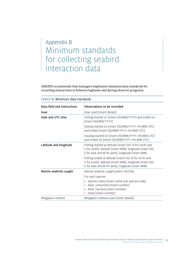## <span id="page-24-0"></span>Appendix B Minimum standards for collecting seabird interaction data

ABARES recommends that managers implement minimum data standards for recording interactions in fisheries logbooks and during observer programs.

| Data field and instructions                                  | Observations to be recorded                                                                                                                                               |  |
|--------------------------------------------------------------|---------------------------------------------------------------------------------------------------------------------------------------------------------------------------|--|
| Gear                                                         | Gear used [insert details]                                                                                                                                                |  |
| Date and UTC time                                            | Fishing started on [insert DD/MM/YYYY] and ended on<br>[insert DD/MM/YYYY]                                                                                                |  |
|                                                              | Setting started on [insert DD/MM/YYYY, HH:MM UTC]<br>and ended [insert DD/MM/YYYY, HH:MM UTC]                                                                             |  |
|                                                              | Hauling started on [insert DD/MM/YYYY, HH:MM UTC]<br>and ended on [insert DD/MM/YYYY, HH:MM UTC]                                                                          |  |
| Latitude and longitude                                       | Fishing started at latitude [insert DD, N for north and<br>S for south], latitude [insert MM], longitude [insert DD,<br>E for east and W for west], longitude [insert MM] |  |
|                                                              | Fishing ended at latitude [insert DD, N for north and<br>S for south], latitude [insert MM], longitude [insert DD,<br>E for east and W for west], longitude [insert MM]   |  |
| Marine seabirds caught                                       | Marine seabirds caught [select Yes/No]                                                                                                                                    |  |
|                                                              | For each species:                                                                                                                                                         |  |
|                                                              | Species name [insert name and species code]<br>Alive, unharmed [insert number]<br>Alive, harmed [insert number]<br>Dead [insert number]                                   |  |
| Mitigation method used [insert details]<br>Mitigation method |                                                                                                                                                                           |  |

#### TABLE B1 Minimum data standards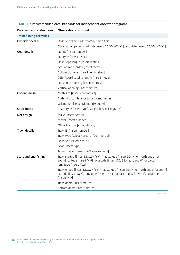| Data field and instructions     | <b>Observations recorded</b>                                                                                                                                                                |  |  |
|---------------------------------|---------------------------------------------------------------------------------------------------------------------------------------------------------------------------------------------|--|--|
| <b>Trawl fishing activities</b> |                                                                                                                                                                                             |  |  |
| Observer details                | Observer name [insert family name first]                                                                                                                                                    |  |  |
|                                 | Observation period start date[insert DD/MM/YYYY], end date [insert DD/MM/YYYY]                                                                                                              |  |  |
| <b>Gear details</b>             | Net ID [insert number]                                                                                                                                                                      |  |  |
|                                 | Net type [insert ISSFCV]                                                                                                                                                                    |  |  |
|                                 | Head rope length [insert metres]                                                                                                                                                            |  |  |
|                                 | Ground rope length [insert metres]                                                                                                                                                          |  |  |
|                                 | Bobbin diameter [insert centimetres]                                                                                                                                                        |  |  |
|                                 | Otter board to wing length [insert metres]                                                                                                                                                  |  |  |
|                                 | Horizontal opening [insert metres]                                                                                                                                                          |  |  |
|                                 | Vertical opening [insert metres]                                                                                                                                                            |  |  |
| Codend mesh                     | Mesh size [insert centimetres]                                                                                                                                                              |  |  |
|                                 | Codend circumference [insert centimetres]                                                                                                                                                   |  |  |
|                                 | Orientation [select Diamond/Square]                                                                                                                                                         |  |  |
| Otter board                     | Board type [insert type], weight [insert kilograms]                                                                                                                                         |  |  |
| Net design                      | Make [insert details]                                                                                                                                                                       |  |  |
|                                 | Model [insert number]                                                                                                                                                                       |  |  |
|                                 | Other features [insert details]                                                                                                                                                             |  |  |
| <b>Trawl details</b>            | Trawl ID [insert number]                                                                                                                                                                    |  |  |
|                                 | Trawl type [select Research/Commercial]                                                                                                                                                     |  |  |
|                                 | Observed [select Yes/No]                                                                                                                                                                    |  |  |
|                                 | Gear [insert type]                                                                                                                                                                          |  |  |
|                                 | Target species [insert FAO species code]                                                                                                                                                    |  |  |
| Start and end fishing           | Trawl started [insert DD/MM/YYYY] at latitude [insert DD, N for north and S for<br>south], latitude [insert MM], longitude [insert DD, E for east and W for west],<br>longitude [insert MM] |  |  |
|                                 | Trawl ended [insert DD/MM/YYYY] at latitude [insert DD, N for north and S for south],<br>latitude [insert MM], longitude [insert DD, E for east and W for west], longitude<br>[insert MM]   |  |  |
|                                 | Trawl depth [insert metres]                                                                                                                                                                 |  |  |
|                                 | Bottom depth [insert metres]                                                                                                                                                                |  |  |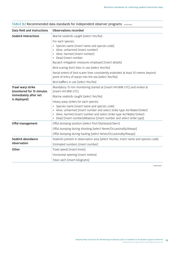| Data field and instructions                    | <b>Observations recorded</b>                                                                                                                                                                                                                                                                                                                                                                                           |  |
|------------------------------------------------|------------------------------------------------------------------------------------------------------------------------------------------------------------------------------------------------------------------------------------------------------------------------------------------------------------------------------------------------------------------------------------------------------------------------|--|
| <b>Seabird interactions</b>                    | Marine seabirds caught [select Yes/No]                                                                                                                                                                                                                                                                                                                                                                                 |  |
|                                                | For each species:<br>Species name [insert name and species code]<br>Alive, unharmed [insert number]<br>Alive, harmed [insert number]<br>Dead [insert number<br>Bycatch mitigation measures employed [insert details]<br>Bird-scaring (tori) lines in use [select Yes/No]<br>Aerial extent of bird-scarer lines consistently extended at least 10 metres beyond<br>point of entry of warps into the sea [select Yes/No] |  |
|                                                | Bird bafflers in use [select Yes/No]                                                                                                                                                                                                                                                                                                                                                                                   |  |
| Trawl warp strike<br>(monitored for 15 minutes | Mandatory 15 min monitoring started at [insert HH:MM UTC] and ended at<br>[insert HH:MM UTC]                                                                                                                                                                                                                                                                                                                           |  |
| immediately after net                          | Marine seabirds caught [select Yes/No]                                                                                                                                                                                                                                                                                                                                                                                 |  |
| is deployed)                                   | Heavy warp strikes for each species:                                                                                                                                                                                                                                                                                                                                                                                   |  |
|                                                | Species name [insert name and species code]<br>Alive, unharmed [insert number and select strike type Air/Water/Sinker]<br>Alive, harmed [insert number and select strike type Air/Water/Sinker]<br>Dead [insert number]Albatross [insert number and select strike type]                                                                                                                                                |  |
| Offal management                               | Offal dumping position [select Port/Starboard/Stern]                                                                                                                                                                                                                                                                                                                                                                   |  |
|                                                | Offal dumping during shooting [select Never/Occasionally/Always]                                                                                                                                                                                                                                                                                                                                                       |  |
|                                                | Offal dumping during hauling [select Never/Occasionally/Always]                                                                                                                                                                                                                                                                                                                                                        |  |
| Seabird abundance                              | Seabirds present in observation area [select Yes/No, insert name and species code]                                                                                                                                                                                                                                                                                                                                     |  |
| observation                                    | Estimated numbers [insert number]                                                                                                                                                                                                                                                                                                                                                                                      |  |
| Other                                          | Trawl speed [insert knots]                                                                                                                                                                                                                                                                                                                                                                                             |  |
|                                                | Horizontal opening [insert metres]                                                                                                                                                                                                                                                                                                                                                                                     |  |
|                                                | Total catch [insert kilograms]                                                                                                                                                                                                                                                                                                                                                                                         |  |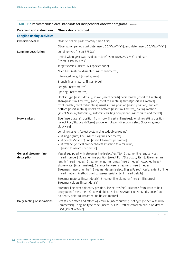| Data field and instructions          | <b>Observations recorded</b>                                                                                                                                                                                                                                                                                                                                                                                                                                                                                |  |
|--------------------------------------|-------------------------------------------------------------------------------------------------------------------------------------------------------------------------------------------------------------------------------------------------------------------------------------------------------------------------------------------------------------------------------------------------------------------------------------------------------------------------------------------------------------|--|
| <b>Longline fishing activities</b>   |                                                                                                                                                                                                                                                                                                                                                                                                                                                                                                             |  |
| Observer details                     | Observer name [insert family name first]                                                                                                                                                                                                                                                                                                                                                                                                                                                                    |  |
|                                      | Observation period start date[insert DD/MM/YYYY], end date [insert DD/MM/YYYY]                                                                                                                                                                                                                                                                                                                                                                                                                              |  |
| Longline description                 | Longline type [insert FFSSCV],                                                                                                                                                                                                                                                                                                                                                                                                                                                                              |  |
|                                      | Period when gear was used start date[insert DD/MM/YYYY], end date<br>[insert DD/MM/YYYY]                                                                                                                                                                                                                                                                                                                                                                                                                    |  |
|                                      | Target species [insert FAO species code]                                                                                                                                                                                                                                                                                                                                                                                                                                                                    |  |
|                                      | Main line: Material diameter [insert millimetres]                                                                                                                                                                                                                                                                                                                                                                                                                                                           |  |
|                                      | Integrated weight [insert grams]                                                                                                                                                                                                                                                                                                                                                                                                                                                                            |  |
|                                      | Branch lines: material [insert type]                                                                                                                                                                                                                                                                                                                                                                                                                                                                        |  |
|                                      | Length [insert metres]                                                                                                                                                                                                                                                                                                                                                                                                                                                                                      |  |
|                                      | Spacing [insert metres]                                                                                                                                                                                                                                                                                                                                                                                                                                                                                     |  |
|                                      | Hooks: Type [insert details], make [insert details], total length [insert millimetres],<br>shank[insert millimetres], gape [insert millimetres], throat[insert millimetres],<br>front length [insert millimetres], usual setting position [insert position], line off<br>bottom [insert metres], hooks off bottom [insert millimetres], baiting method<br>[select Manual/Automatic], automatic baiting equipment [insert make and model]                                                                    |  |
| <b>Hook sinkers</b>                  | Size [insert grams], position from hook [insert millimetres], longline setting position<br>[select Port/Starboard/Stern], propeller rotation direction [select Clockwise/Anti-<br>clockwise]                                                                                                                                                                                                                                                                                                                |  |
|                                      | Longline system: [select system single/double/trotline]                                                                                                                                                                                                                                                                                                                                                                                                                                                     |  |
|                                      | • if single (auto) line [insert kilograms per metre]                                                                                                                                                                                                                                                                                                                                                                                                                                                        |  |
|                                      | if double (Spanish) line [insert kilograms per metre]                                                                                                                                                                                                                                                                                                                                                                                                                                                       |  |
|                                      | if trotline (vertical droppers/trots attached to a mainline)<br>[insert kilograms per metre]                                                                                                                                                                                                                                                                                                                                                                                                                |  |
| General streamer line<br>description | Vessel equipped with streamer line [select Yes/No], Streamer line regularly set<br>[insert number], Streamer line position [select Port/Starboard/Stern], Streamer line<br>length [insert metres], Streamer length min/max [insert metres], Attached height<br>above water [insert metres], Distance between streamers [insert metres]<br>Streamers [insert number], Streamer design [select Single/Paired], Aerial extent of line<br>[insert metres], Method used to assess aerial extent [insert details] |  |
|                                      | Streamer material [insert details], Streamer line diameter [insert millimetres],<br>Streamer colours [insert details]                                                                                                                                                                                                                                                                                                                                                                                       |  |
|                                      | Streamer line over bait entry position? [select Yes/No], Distance from stern to bait<br>entry point [insert metres], towed object [select Yes/No], Horizontal distance from<br>bait entry point to streamer line [insert metres]                                                                                                                                                                                                                                                                            |  |
| Daily setting observations           | Sets (as per catch and effort log entries) [insert number], Set type [select Research/<br>Commercial], Longline type code [insert FSSCV], Trotline cetacean exclusion device<br>used [select Yes/No]                                                                                                                                                                                                                                                                                                        |  |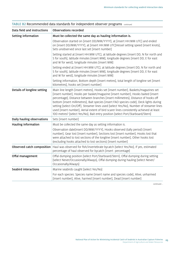| Data field and instructions | <b>Observations recorded</b>                                                                                                                                                                                                                                                                                                                                                                                                                                                                                                                                                                                                   |  |
|-----------------------------|--------------------------------------------------------------------------------------------------------------------------------------------------------------------------------------------------------------------------------------------------------------------------------------------------------------------------------------------------------------------------------------------------------------------------------------------------------------------------------------------------------------------------------------------------------------------------------------------------------------------------------|--|
| Setting information         | Must be collected the same day as hauling information is.                                                                                                                                                                                                                                                                                                                                                                                                                                                                                                                                                                      |  |
|                             | Observation started on [insert DD/MM/YYYY], at [insert HH:MM UTC] and ended<br>on [insert DD/MM/YYYY], at [insert HH:MM UTC]Vessel setting speed [insert knots],<br>Sets unobserved since last set [insert number]                                                                                                                                                                                                                                                                                                                                                                                                             |  |
|                             | Setting started at [insert HH:MM UTC], at latitude degrees [insert DD, N for north and<br>S for south], latitude minutes [insert MM], longitude degrees [insert DD, E for east<br>and W for west], longitude minutes [insert MM]                                                                                                                                                                                                                                                                                                                                                                                               |  |
|                             | Setting ended at [insert HH:MM UTC], at latitude degrees [insert DD, N for north and<br>S for south], latitude minutes [insert MM], longitude degrees [insert DD, E for east<br>and W for west], longitude minutes [insert MM]                                                                                                                                                                                                                                                                                                                                                                                                 |  |
|                             | Setting information, Bottom depth [insert metres], total length of longline set [insert<br>kilometres], hooks set [insert number]                                                                                                                                                                                                                                                                                                                                                                                                                                                                                              |  |
| Details of longline setting | Main line length [insert metres], Hooks set [insert number], Baskets/magazines set<br>[insert number], Hooks per basket/magazine [insert number], Hooks baited [insert<br>percentage], Distance between branches [insert millimetres], Distance of hooks off<br>bottom [insert millimetres], Bait species [insert FAO species code], Deck lights during<br>setting [select On/Off], Streamer lines used [select Yes/No], Number of streamer lines<br>used [insert number], Aerial extent of bird scarer lines consistently achieved at least<br>100 metres? [select Yes/No], Bait entry position [select Port/Starboard/Stern] |  |
| Daily hauling observations  | Sets [insert number]                                                                                                                                                                                                                                                                                                                                                                                                                                                                                                                                                                                                           |  |
| Hauling information         | Must be collected the same day as setting information is.                                                                                                                                                                                                                                                                                                                                                                                                                                                                                                                                                                      |  |
|                             | Observation date[insert DD/MM/YYYY], Hooks observed (tally period) [insert<br>number], Gear lost [insert number], Sections lost [insert number], Hooks lost that<br>were attached to lost sections of the longline [insert number], Other hooks lost<br>(excluding hooks attached to lost sections) [insert number]                                                                                                                                                                                                                                                                                                            |  |
|                             | Observed catch composition   Haul was observed for fish/invertebrate bycatch [select Yes/No], If yes, estimated<br>percentage of haul observed for bycatch [insert percentage]                                                                                                                                                                                                                                                                                                                                                                                                                                                 |  |
| Offal management            | Offal dumping position [select Port/Starboard/Stern], Offal dumping during setting<br>[select Never/Occasionally/Always], Offal dumping during hauling [select Never/<br>Occasionally/Always]                                                                                                                                                                                                                                                                                                                                                                                                                                  |  |
| Seabird interactions        | Marine seabirds caught [select Yes/No]                                                                                                                                                                                                                                                                                                                                                                                                                                                                                                                                                                                         |  |
|                             | For each species: Species name [insert name and species code], Alive, unharmed<br>[insert number], Alive, harmed [insert number], Dead [insert number]                                                                                                                                                                                                                                                                                                                                                                                                                                                                         |  |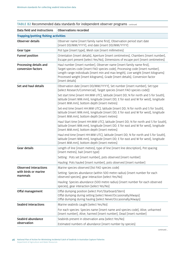| Data field and instructions                                                                                                                                                                                    | <b>Observations recorded</b>                                                                                                                                                                                                                                                                                                                            |  |  |
|----------------------------------------------------------------------------------------------------------------------------------------------------------------------------------------------------------------|---------------------------------------------------------------------------------------------------------------------------------------------------------------------------------------------------------------------------------------------------------------------------------------------------------------------------------------------------------|--|--|
| <b>Trapping/potting fishing activities</b>                                                                                                                                                                     |                                                                                                                                                                                                                                                                                                                                                         |  |  |
| Observer details                                                                                                                                                                                               | Observer name [insert family name first], Observation period start date<br>[insert DD/MM/YYYY], end date [insert DD/MM/YYYY]                                                                                                                                                                                                                            |  |  |
| Gear type                                                                                                                                                                                                      | Pot type [insert type], Mesh size [insert millimetres]                                                                                                                                                                                                                                                                                                  |  |  |
| <b>Funnel position</b>                                                                                                                                                                                         | Orientation [insert details], Aperture [insert centimetres], Chambers [insert number],<br>Escape port present [select Yes/No], Dimensions of escape port [insert centimetres]                                                                                                                                                                           |  |  |
| Processing details and<br>conversion factors                                                                                                                                                                   | Haul number [insert number], Observer name [insert family name first],<br>Target species code [insert FAO species code], Processing code [insert number],<br>Length range individuals [insert min and max length], Live weight [insert kilograms]<br>Processed weight [insert kilograms], Grade [insert details], Conversion factor<br>[insert details] |  |  |
| Set and haul details                                                                                                                                                                                           | Observation date [insert DD/MM/YYYY], Set number [insert number], Set type<br>[select Research/Commercial], Target species [insert FAO species code]]                                                                                                                                                                                                   |  |  |
|                                                                                                                                                                                                                | Set start time [insert HH:MM UTC], latitude [insert DD; N for north and S for South],<br>latitude [insert MM.mm], longitude [insert DD; E for east and W for west], longitude<br>[insert MM.mm], bottom depth [insert metres]                                                                                                                           |  |  |
|                                                                                                                                                                                                                | Set end time [insert HH:MM UTC], latitude [insert DD; N for north and S for South],<br>latitude [insert MM.mm], longitude [insert DD; E for east and W for west], longitude<br>[insert MM.mm], bottom depth [insert metres]                                                                                                                             |  |  |
|                                                                                                                                                                                                                | Haul Start time [insert HH:MM UTC], latitude [insert DD; N for north and S for South],<br>latitude [insert MM.mm], longitude [insert DD; E for east and W for west], longitude<br>[insert MM.mm], bottom depth [insert metres]                                                                                                                          |  |  |
|                                                                                                                                                                                                                | Haul end time [insert HH:MM UTC], latitude [insert DD; N for north and S for South],<br>latitude [insert MM.mm], longitude [insert DD; E for east and W for west], longitude<br>[insert MM.mm], bottom depth [insert metres]                                                                                                                            |  |  |
| <b>Gear details</b>                                                                                                                                                                                            | Length of line [insert metres], type of line [insert line description], Pot spacing<br>[insert metres], bait [insert type]                                                                                                                                                                                                                              |  |  |
|                                                                                                                                                                                                                | Setting : Pots set [insert number], pots observed [insert number]                                                                                                                                                                                                                                                                                       |  |  |
|                                                                                                                                                                                                                | Hauling: Pots hauled [insert number], pots observed [insert number]                                                                                                                                                                                                                                                                                     |  |  |
| <b>Observed interactions</b>                                                                                                                                                                                   | Marine species observed [list FAO species code]                                                                                                                                                                                                                                                                                                         |  |  |
| with birds or marine<br>mammals                                                                                                                                                                                | Setting: Species abundance (within 500 metre radius) [insert number for each<br>observed species], gear interaction [select Yes/No]                                                                                                                                                                                                                     |  |  |
|                                                                                                                                                                                                                | Hauling: Species abundance (500 metre radius) [insert number for each observed<br>species], gear interaction [select Yes/No]                                                                                                                                                                                                                            |  |  |
| Offal management<br>Offal dumping position [select Port/Starboard/Stern]<br>Offal dumping during setting [select Never/Occasionally/Always]<br>Offal dumping during hauling [select Never/Occasionally/Always] |                                                                                                                                                                                                                                                                                                                                                         |  |  |
| Seabird interactions                                                                                                                                                                                           | Marine seabirds caught [select Yes/No]                                                                                                                                                                                                                                                                                                                  |  |  |
|                                                                                                                                                                                                                | For each species: Species name [insert name and species code], Alive, unharmed<br>[insert number], Alive, harmed [insert number], Dead [insert number]                                                                                                                                                                                                  |  |  |
| Seabird abundance                                                                                                                                                                                              | Seabirds present in observation area [select Yes/No]                                                                                                                                                                                                                                                                                                    |  |  |
| observation                                                                                                                                                                                                    | Estimated numbers of abundance [insert number by species]                                                                                                                                                                                                                                                                                               |  |  |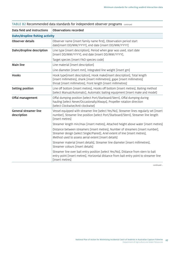| Data field and instructions                 | <b>Observations recorded</b>                                                                                                                                                                                                |  |  |
|---------------------------------------------|-----------------------------------------------------------------------------------------------------------------------------------------------------------------------------------------------------------------------------|--|--|
| <b>Dahn/dropline fishing activity</b>       |                                                                                                                                                                                                                             |  |  |
| Observer details                            | Observer name [insert family name first], Observation period start<br>date[insert DD/MM/YYYY], end date [insert DD/MM/YYYY]                                                                                                 |  |  |
| Dahn/dropline description                   | Line type [insert description], Period when gear was used, start date<br>[insert DD/MM/YYYY], end date [insert DD/MM/YYYY],                                                                                                 |  |  |
|                                             | Target species [insert FAO species code]                                                                                                                                                                                    |  |  |
| Main line                                   | Line material [insert description]                                                                                                                                                                                          |  |  |
|                                             | Line diameter [insert mm], Integrated line weight [insert gm]                                                                                                                                                               |  |  |
| <b>Hooks</b>                                | Hook type[insert description], Hook make[insert description], Total length<br>[insert millimetres], shank [insert millimetres], gape [insert millimetres]<br>throat [insert millimetres], Front length [insert millimetres] |  |  |
| Setting position                            | Line off bottom [insert metres], Hooks off bottom [insert metres], Baiting method<br>[select Manual/Automatic], Automatic baiting equipment [insert make and model]                                                         |  |  |
| Offal management                            | Offal dumping position [select Port/Starboard/Stern], Offal dumping during<br>hauling [select Never/Occasionally/Always], Propeller rotation direction<br>[select Clockwise/Anti-clockwise]                                 |  |  |
| <b>General streamer line</b><br>description | Vessel equipped with streamer line [select Yes/No], Streamer lines regularly set [insert<br>number], Streamer line position [select Port/Starboard/Stern], Streamer line length<br>[insert metres]                          |  |  |
|                                             | Streamer length min/max [insert metres], Attached height above water [insert metres]                                                                                                                                        |  |  |
|                                             | Distance between streamers [insert metres], Number of streamers [insert number],<br>Streamer design [select Single/Paired], Ariel extent of line [insert metres],<br>Method used to assess aerial extent [insert details]   |  |  |
|                                             | Streamer material [insert details], Streamer line diameter [insert millimetres],<br>Streamer colours [insert details]                                                                                                       |  |  |
|                                             | Streamer line over bait entry position [select Yes/No], Distance from stern to bait<br>entry point [insert metres], Horizontal distance from bait entry point to streamer line<br>[insert metres]                           |  |  |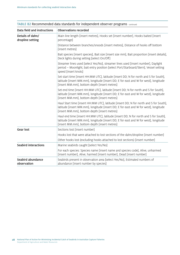| <b>Observations recorded</b><br>Data field and instructions |                                                                                                                                                                                                                                |  |
|-------------------------------------------------------------|--------------------------------------------------------------------------------------------------------------------------------------------------------------------------------------------------------------------------------|--|
| Details of dahn/<br>dropline setting                        | Main line length [insert metres], Hooks set [insert number], Hooks baited [insert<br>percentage]                                                                                                                               |  |
|                                                             | Distance between branches/snoods [insert metres], Distance of hooks off bottom<br>[insert metres]                                                                                                                              |  |
|                                                             | Bait species [insert species], Bait size [insert size mm], Bait proportion [insert details],<br>Deck lights during setting [select On/Off]                                                                                     |  |
|                                                             | Streamer lines used [select Yes/No], streamer lines used [insert number], Daylight<br>period - Moonlight, bait entry position [select Port/Starboard/Stern], Vessel setting<br>speed [insert knots]                            |  |
|                                                             | Set start time [insert HH:MM UTC], latitude [insert DD; N for north and S for South],<br>latitude [insert MM.mm], longitude [insert DD; E for east and W for west], longitude<br>[insert MM.mm], bottom depth [insert metres]  |  |
|                                                             | Set end time [insert HH:MM UTC], latitude [insert DD; N for north and S for South],<br>latitude [insert MM.mm], longitude [insert DD; E for east and W for west], longitude<br>[insert MM.mm], bottom depth [insert metres]    |  |
|                                                             | Haul Start time [insert HH:MM UTC], latitude [insert DD; N for north and S for South],<br>latitude [insert MM.mm], longitude [insert DD; E for east and W for west], longitude<br>[insert MM.mm], bottom depth [insert metres] |  |
|                                                             | Haul end time [insert HH:MM UTC], latitude [insert DD; N for north and S for South],<br>latitude [insert MM.mm], longitude [insert DD; E for east and W for west], longitude<br>[insert MM.mm], bottom depth [insert metres]   |  |
| <b>Gear lost</b>                                            | Sections lost [insert number]                                                                                                                                                                                                  |  |
|                                                             | Hooks lost that were attached to lost sections of the dahn/dropline [insert number]                                                                                                                                            |  |
|                                                             | Other hooks lost (excluding hooks attached to lost sections) [insert number]                                                                                                                                                   |  |
| <b>Seabird interactions</b>                                 | Marine seabirds caught [select Yes/No]                                                                                                                                                                                         |  |
|                                                             | For each species: Species name [insert name and species code], Alive, unharmed<br>[insert number], Alive, harmed [insert number], Dead [insert number]                                                                         |  |
| Seabird abundance<br>observation                            | Seabirds present in observation area [select Yes/No], Estimated numbers of<br>abundance [insert number by species]                                                                                                             |  |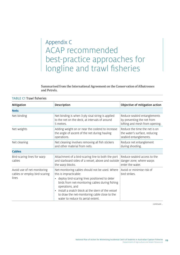## <span id="page-32-0"></span>Appendix C ACAP recommended best-practice approaches for longline and trawl fisheries

Summarised from the International Agreement on the Conservation of Albatrosses and Petrels.

| Mitigation                                                            | Description                                                                                                                                                                                                                                                                                                                                    | Objective of mitigation action                                                               |  |
|-----------------------------------------------------------------------|------------------------------------------------------------------------------------------------------------------------------------------------------------------------------------------------------------------------------------------------------------------------------------------------------------------------------------------------|----------------------------------------------------------------------------------------------|--|
| <b>Nets</b>                                                           |                                                                                                                                                                                                                                                                                                                                                |                                                                                              |  |
| Net binding                                                           | Net binding is when 3-ply sisal string is applied<br>to the net on the deck, at intervals of around<br>5 metres.                                                                                                                                                                                                                               | Reduce seabird entanglements<br>by preventing the net from<br>lofting and mesh from opening. |  |
| Net weights                                                           | Adding weight on or near the codend to increase<br>the angle of ascent of the net during hauling<br>operations.                                                                                                                                                                                                                                | Reduce the time the net is on<br>the water's surface, reducing<br>seabird entanglements.     |  |
| Net cleaning                                                          | Net cleaning involves removing all fish stickers<br>Reduce net entanglement<br>and other material from nets.<br>during shooting.                                                                                                                                                                                                               |                                                                                              |  |
| <b>Cables</b>                                                         |                                                                                                                                                                                                                                                                                                                                                |                                                                                              |  |
| Bird-scaring lines for warp<br>cables                                 | Attachment of a bird-scaring line to both the port<br>and starboard sides of a vessel, above and outside<br>the warp blocks.                                                                                                                                                                                                                   | Reduce seabird access to the<br>danger zone, where warps<br>enter the water.                 |  |
| Avoid use of net monitoring<br>cables or employ bird-scaring<br>lines | Net-monitoring cables should not be used. Where<br>this is impracticable:<br>• deploy bird-scaring lines positioned to deter<br>birds from net-monitoring cables during fishing<br>operations, and<br>install a snatch block at the stern of the vessel<br>to draw the net-monitoring cable close to the<br>water to reduce its aerial extent. | Avoid or minimise risk of<br>bird strikes.                                                   |  |

TABLE C1 Trawl fisheries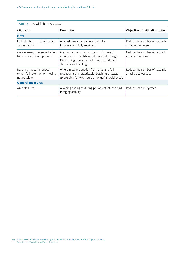| <b>TABLE C1 Trawl fisheries</b> continued |                    |                                |
|-------------------------------------------|--------------------|--------------------------------|
| Mitigation                                | <b>Description</b> | Objective of mitigation action |
| Offal                                     |                    |                                |

| Full retention-recommended<br>as best option                             | All waste material is converted into<br>fish meal and fully retained.                                                                                                 | Reduce the number of seabirds<br>attracted to vessel.  |
|--------------------------------------------------------------------------|-----------------------------------------------------------------------------------------------------------------------------------------------------------------------|--------------------------------------------------------|
| Mealing-recommended when<br>full retention is not possible               | Mealing converts fish waste into fish meal,<br>reducing the quantity of fish waste discharge.<br>Discharging of meal should not occur during<br>shooting and hauling. | Reduce the number of seabirds<br>attracted to vessels. |
| Batching-recommended<br>(when full retention or mealing<br>not possible) | Where meal production from offal and full<br>retention are impracticable, batching of waste<br>(preferably for two hours or longer) should occur.                     | Reduce the number of seabirds<br>attached to vessels.  |
| <b>General measures</b>                                                  |                                                                                                                                                                       |                                                        |
| Area closures                                                            | Avoiding fishing at during periods of intense bird<br>foraging activity.                                                                                              | Reduce seabird bycatch.                                |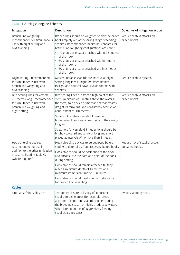| Mitigation                                                                                                                               | Description                                                                                                                                                                                                                                                         | Objective of mitigation action                     |  |
|------------------------------------------------------------------------------------------------------------------------------------------|---------------------------------------------------------------------------------------------------------------------------------------------------------------------------------------------------------------------------------------------------------------------|----------------------------------------------------|--|
| Branch line weighting-<br>recommended for simultaneous<br>use with night setting and<br>bird scanning                                    | Branch lines should be weighted to sink the baited<br>hooks rapidly out of the diving range of feeding<br>seabirds. Recommended minimum standards for<br>branch line weighting configurations are either:                                                           | Reduce seabird attacks on<br>baited hooks.         |  |
|                                                                                                                                          | • 40 grams or greater attached within 0.5 metres<br>of the hook<br>60 grams or greater attached within 1 metre<br>of the hook, or<br>• 80 grams or greater attached within 2 metres<br>of the hook.                                                                 |                                                    |  |
| Night setting-recommended<br>for simultaneous use with<br>branch line weighting and<br>bird scanning                                     | Most vulnerable seabirds are inactive at night.<br>Setting longlines at night, between nautical<br>twilight and nautical dawn, avoids contact with<br>seabirds.                                                                                                     | Reduce seabird bycatch.                            |  |
| Bird-scaring lines for vessels<br>>35 metres long-recommended<br>for simultaneous use with<br>branch line weighting and<br>night setting | Bird-scaring lines run from a high point at the<br>stern (minimum of 8 metres above the water at<br>the stern) to a device or mechanism that creates<br>drag at its terminus, and consistently achieve an<br>aerial extent of 100 metres.                           | Reduce seabird attacks on<br>baited hooks.         |  |
|                                                                                                                                          | Vessels >35 metres long should use two<br>bird-scaring lines, one on each side of the sinking<br>longline.                                                                                                                                                          |                                                    |  |
|                                                                                                                                          | Streamers for vessels >35 metres long should be<br>brightly coloured and a mix of long and short,<br>placed at intervals of no more than 5 metres.                                                                                                                  |                                                    |  |
| Hook-shielding devices-<br>recommended for use in                                                                                        | Hook-shielding devices to be deployed before<br>setting to deter birds from accessing baited hooks.                                                                                                                                                                 | Reduce risk of seabird bycatch<br>on baited hooks. |  |
| addition to the other mitigation<br>measures listed in Table C2<br>(where required)                                                      | Hook-shields should be positioned at the hook<br>and encapsulate the barb and point of the hook<br>during setting.                                                                                                                                                  |                                                    |  |
|                                                                                                                                          | Hook shields should remain attached till they<br>reach a minimum depth of 10 metres or a<br>minimum immersion time of 10 minutes.                                                                                                                                   |                                                    |  |
|                                                                                                                                          | Hook shields should meet minimum standards<br>for branch line weighting.                                                                                                                                                                                            |                                                    |  |
| <b>Cables</b>                                                                                                                            |                                                                                                                                                                                                                                                                     |                                                    |  |
| Time-area fishery closures                                                                                                               | Temporary closure to fishing of important<br>seabird foraging areas (for example, areas<br>adjacent to important seabird colonies during<br>the breeding season or highly productive waters<br>when large numbers of aggressively feeding<br>seabirds are present). | Avoid seabird bycatch.                             |  |

#### TABLE C2 Pelagic longline fisheries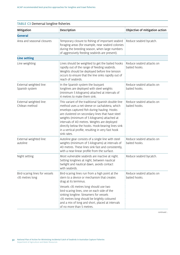| Mitigation                                        | Description                                                                                                                                                                                                                                                                                                                                                                                                                         | Objective of mitigation action             |
|---------------------------------------------------|-------------------------------------------------------------------------------------------------------------------------------------------------------------------------------------------------------------------------------------------------------------------------------------------------------------------------------------------------------------------------------------------------------------------------------------|--------------------------------------------|
| <b>General</b>                                    |                                                                                                                                                                                                                                                                                                                                                                                                                                     |                                            |
| Area and seasonal closures                        | Temporary closure to fishing of important seabird<br>foraging areas (for example, near seabird colonies<br>during the breeding season, when large numbers<br>of aggressively feeding seabirds are present).                                                                                                                                                                                                                         | Reduce seabird bycatch.                    |
| <b>Line setting</b>                               |                                                                                                                                                                                                                                                                                                                                                                                                                                     |                                            |
| Line weighting                                    | Lines should be weighted to get the baited hooks<br>rapidly out of the range of feeding seabirds.<br>Weights should be deployed before line tension<br>occurs to ensure that the line sinks rapidly out of<br>reach of seabirds.                                                                                                                                                                                                    | Reduce seabird attacks on<br>baited hooks. |
| External weighted line:<br>Spanish system         | In the Spanish system the buoyant<br>longlines are deployed with steel weights<br>(minimum 5 kilograms) attached at intervals of<br>4 metres to make them sink.                                                                                                                                                                                                                                                                     | Reduce seabird attacks on<br>baited hooks. |
| External weighted line:<br>Chilean method         | This variant of the traditional Spanish double-line<br>method uses a net sleeve or cachalotera, which<br>envelops captured fish during hauling. Hooks<br>are clustered on secondary lines that have steel<br>weights (minimum of 5 kilograms) attached at<br>intervals of 40 metres. Weights are deployed<br>directly below the hooks. Hook-bearing lines sink<br>in a vertical profile, resulting in very fast hook<br>sink rates. | Reduce seabird attacks on<br>baited hooks. |
| External weighted line:<br>autoline               | Autoline gear consists of a single line with steel<br>weights (minimum of 5 kilograms) at intervals of<br>40 metres. These lines sink fast and consistently,<br>with a near-linear profile from the surface.                                                                                                                                                                                                                        | Reduce seabird attacks on<br>baited hooks. |
| Night setting                                     | Most vulnerable seabirds are inactive at night.<br>Setting longlines at night, between nautical<br>twilight and nautical dawn, avoids contact<br>with seabirds.                                                                                                                                                                                                                                                                     | Reduce seabird bycatch.                    |
| Bird-scaring lines for vessels<br>>35 metres long | Bird-scaring lines run from a high point at the<br>stern to a device or mechanism that creates<br>drag at its terminus.                                                                                                                                                                                                                                                                                                             | Reduce seabird attacks on<br>baited hooks. |
|                                                   | Vessels >35 metres long should use two<br>bird-scaring lines, one on each side of the<br>sinking longline. Streamers for vessels<br>>35 metres long should be brightly coloured<br>and a mix of long and short, placed at intervals<br>of no more than 5 metres.                                                                                                                                                                    |                                            |

| <b>TABLE C3 Demersal longline fisheries</b> |  |
|---------------------------------------------|--|
|---------------------------------------------|--|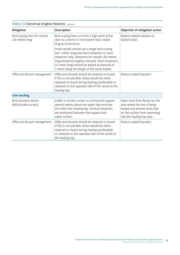| Mitigation                                        | Description                                                                                                                                                                                                                                                                                                    | Objective of mitigation action                                                                                                                                  |
|---------------------------------------------------|----------------------------------------------------------------------------------------------------------------------------------------------------------------------------------------------------------------------------------------------------------------------------------------------------------------|-----------------------------------------------------------------------------------------------------------------------------------------------------------------|
| Bird-scaring lines for vessels<br><35 metres long | Bird-scaring lines run from a high point at the<br>stern to a device or mechanism that creates<br>drag at its terminus.                                                                                                                                                                                        | Reduce seabird attacks on<br>baited hooks.                                                                                                                      |
|                                                   | Small vessels should use a single bird-scaring<br>line-either long and short streamers or short<br>streamers only. Streamers for vessels <35 metres<br>long should be brightly coloured. Short streamers<br>(>1 metre long) should be placed at intervals of<br>1 metre along the length of the aerial extent. |                                                                                                                                                                 |
| Offal and discard management                      | Offal and discards should be retained on board.<br>If this is not possible, these should be either<br>retained on board during hauling (preferable) or<br>released on the opposite side of the vessel to the<br>hauling bay.                                                                                   | Reduce seabird bycatch.                                                                                                                                         |
| <b>Line hauling</b>                               |                                                                                                                                                                                                                                                                                                                |                                                                                                                                                                 |
| Bird exclusion device<br>(BED/brickle curtain)    | A BED or brickle curtain is a horizontal support<br>several metres above the water that encircles<br>the entire line-hauling bay. Vertical streamers<br>are positioned between the support and<br>water surface.                                                                                               | Deter birds from flying into the<br>area where the line is being<br>hauled and prevent birds that<br>on the surface from swimming<br>into the hauling bay area. |
| Offal and discard management                      | Offal and discards should be retained on board.<br>If this is not possible, these should be either<br>retained on board during hauling (preferable)<br>or released on the opposite side of the vessel to<br>the hauling bay.                                                                                   | Reduce seabird bycatch.                                                                                                                                         |

#### TABLE C3 Demersal longline fisheries continued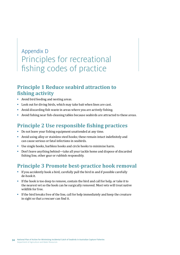## <span id="page-37-0"></span>Appendix D Principles for recreational fishing codes of practice

### **Principle 1 Reduce seabird attraction to fishing activity**

- Avoid bird feeding and nesting areas.
- Look out for diving birds, which may take bait when lines are cast.
- Avoid discarding fish waste in areas where you are actively fishing.
- Avoid fishing near fish-cleaning tables because seabirds are attracted to these areas.

### **Principle 2 Use responsible fishing practices**

- Do not leave your fishing equipment unattended at any time.
- Avoid using alloy or stainless steel hooks; these remain intact indefinitely and can cause serious or fatal infections in seabirds.
- Use single hooks, barbless hooks and circle hooks to minimise harm.
- Don't leave anything behind—take all your tackle home and dispose of discarded fishing line, other gear or rubbish responsibly.

### **Principle 3 Promote best-practice hook removal**

- If you accidently hook a bird, carefully pull the bird in and if possible carefully de-hook it.
- If the hook is too deep to remove, contain the bird and call for help, or take it to the nearest vet so the hook can be surgically removed. Most vets will treat native wildlife for free.
- If the bird breaks free of the line, call for help immediately and keep the creature in sight so that a rescuer can find it.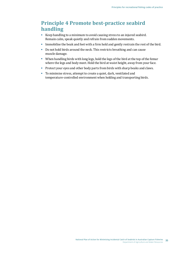### **Principle 4 Promote best-practice seabird handling**

- Keep handling to a minimum to avoid causing stress to an injured seabird. Remain calm, speak quietly and refrain from sudden movements.
- Immobilise the beak and feet with a firm hold and gently restrain the rest of the bird.
- Do not hold birds around the neck. This restricts breathing and can cause muscle damage.
- When handling birds with long legs, hold the legs of the bird at the top of the femur where the legs and body meet. Hold the bird at waist height, away from your face.
- Protect your eyes and other body parts from birds with sharp beaks and claws.
- To minimise stress, attempt to create a quiet, dark, ventilated and temperature-controlled environment when holding and transporting birds.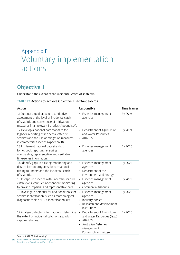## <span id="page-39-0"></span>Appendix E Voluntary implementation actions

## **Objective 1**

Understand the extent of the incidental catch of seabirds.

|  |  |  |  | TABLE E1 Actions to achieve Objective 1, NPOA-Seabirds |
|--|--|--|--|--------------------------------------------------------|
|--|--|--|--|--------------------------------------------------------|

| <b>Action</b>                                                                                                                                                                             | Responsible                                                                                                                                | Time frames |
|-------------------------------------------------------------------------------------------------------------------------------------------------------------------------------------------|--------------------------------------------------------------------------------------------------------------------------------------------|-------------|
| 1.1 Conduct a qualitative or quantitative<br>assessment of the level of incidental catch<br>of seabirds and current use of mitigation<br>measures in all relevant fisheries (Appendix A). | Fisheries management<br>agencies                                                                                                           | By 2019     |
| 1.2 Develop a national data standard for<br>logbook reporting of incidental catch of<br>seabirds and the use of mitigation measures<br>in commercial fisheries (Appendix B).              | Department of Agriculture<br>and Water Resources<br>ABARES                                                                                 | By 2019     |
| 1.3 Implement national data standard<br>for logbook reporting, ensuring<br>comparable, representative and verifiable<br>time-series information.                                          | Fisheries management<br>agencies                                                                                                           | By 2020     |
| 1.4 Identify gaps in existing monitoring and<br>data collection programs for recreational<br>fishing to understand the incidental catch<br>of seabirds.                                   | Fisheries management<br>agencies<br>Department of the<br>$\bullet$<br>Environment and Energy                                               | By 2021     |
| 1.5 In capture fisheries with uncertain seabird<br>catch levels, conduct independent monitoring<br>to provide impartial and representative data.                                          | Fisheries management<br>$\bullet$<br>agencies<br>Commercial fisheries                                                                      | By 2021     |
| 1.6 Investigate potential for additional tools for<br>seabird identification, such as morphological<br>diagnostic tools or DNA identification kits.                                       | Fisheries management<br>$\bullet$<br>agencies<br>Industry bodies<br>Research and development<br>institutions                               | By 2020     |
| 1.7 Analyse collected information to determine<br>the extent of incidental catch of seabirds in<br>capture fisheries.                                                                     | Department of Agriculture<br>$\bullet$<br>and Water Resources (lead)<br>ABARES<br>Australian Fisheries<br>Management<br>Forum subcommittee | By 2020     |

Source: ABARES (forthcoming)

**36** National Plan of Action for Minimising Incidental Catch of Seabirds in Australian Capture Fisheries Department of Agriculture and Water Resources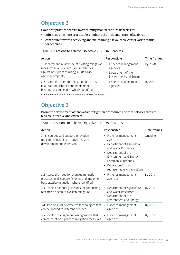### **Objective 2**

Have best-practice seabird bycatch mitigation in capture fisheries to:

- minimise or, where practicable, eliminate the incidental catch of seabirds
- contribute towards achieving and maintaining a favourable conservation status for seabirds.

#### TABLE E2 Actions to achieve Objective 2, NPOA–Seabirds

| Action                                                                                                                                                              | Responsible                                                                       | Time frames |
|---------------------------------------------------------------------------------------------------------------------------------------------------------------------|-----------------------------------------------------------------------------------|-------------|
| 2.1 Identify and review use of existing mitigation<br>measures in all relevant capture fisheries<br>against best practice (using ACAP advice<br>where appropriate). | • Fisheries management<br>agencies<br>Department of the<br>Environment and Energy | By 2020     |
| 2.2 Assess the need for mitigation practices<br>in all capture fisheries and implement<br>best-practice mitigation where identified.                                | • Fisheries management<br>agencies                                                | By 2021     |

**ACAP** Agreement on the Conservation of Albatrosses and Petrels.

### **Objective 3**

Promote development of innovative mitigation procedures and technologies that are feasible, effective and efficient.

#### TABLE E3 Actions to achieve Objective 3, NPOA–Seabirds

| <b>Action</b>                                                                                                                                | Responsible                                                                                                                                                                                                                                     | Time frames |
|----------------------------------------------------------------------------------------------------------------------------------------------|-------------------------------------------------------------------------------------------------------------------------------------------------------------------------------------------------------------------------------------------------|-------------|
| 3.1 Encourage and support innovation in<br>mitigation, including through research,<br>development and extension.                             | • Fisheries management<br>agencies<br>Department of Agriculture<br>and Water Resources<br>Department of the<br>$\bullet$<br>Environment and Energy<br>Commercial fisheries<br>Recreational fishing<br>$\bullet$<br>representative organisations | Ongoing     |
| 3.2 Assess the need for changed mitigation<br>practices in all capture fisheries and implement<br>best-practice mitigation where identified. | Fisheries management<br>$\bullet$<br>agencies                                                                                                                                                                                                   | By 2019     |
| 3.3 Develop national guidelines for conducting<br>research on seabird bycatch mitigation.                                                    | Department of Agriculture<br>and Water Resources<br>Department of the<br>Environment and Energy                                                                                                                                                 | By 2019     |
| 3.4 Develop a set of effective technologies that<br>can be applied to different fisheries.                                                   | Fisheries management<br>$\bullet$<br>agencies                                                                                                                                                                                                   | By 2019     |
| 3.5 Develop management arrangements that<br>complement best-practice mitigation measures.                                                    | Fisheries management<br>$\bullet$<br>agencies                                                                                                                                                                                                   | By 2019     |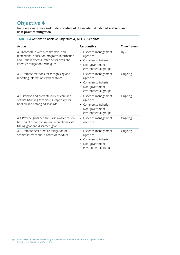## **Objective 4**

Increase awareness and understanding of the incidental catch of seabirds and best-practice mitigation.

| TABLE E4 Actions to achieve Objective 4, NPOA-Seabirds                                                                                                                 |                                                                                                                              |             |  |
|------------------------------------------------------------------------------------------------------------------------------------------------------------------------|------------------------------------------------------------------------------------------------------------------------------|-------------|--|
| <b>Action</b>                                                                                                                                                          | Responsible                                                                                                                  | Time frames |  |
| 4.1 Incorporate within commercial and<br>recreational education programs information<br>about the incidental catch of seabirds and<br>effective mitigation techniques. | • Fisheries management<br>agencies<br>Commercial fisheries<br>Non-government<br>environmental groups                         | By 2019     |  |
| 4.2 Promote methods for recognising and<br>reporting interactions with seabirds.                                                                                       | Fisheries management<br>$\bullet$<br>agencies<br>Commercial fisheries<br>$\bullet$<br>Non-government<br>environmental groups | Ongoing     |  |
| 4.3 Develop and promote duty of care and<br>seabird handling techniques, especially for<br>hooked and entangled seabirds.                                              | Fisheries management<br>$\bullet$<br>agencies<br>Commercial fisheries<br>Non-government<br>environmental groups              | Ongoing     |  |
| 4.4 Provide guidance and raise awareness on<br>best practice for minimising interactions with<br>fishing gear and discarded gear.                                      | Fisheries management<br>$\bullet$<br>agencies                                                                                | Ongoing     |  |
| 4.5 Promote best-practice mitigation of<br>seabird interactions in codes of conduct.                                                                                   | Fisheries management<br>agencies<br>Commercial fisheries<br>Non-government<br>environmental groups                           | Ongoing     |  |

#### **38** National Plan of Action for Minimising Incidental Catch of Seabirds in Australian Capture Fisheries Department of Agriculture and Water Resources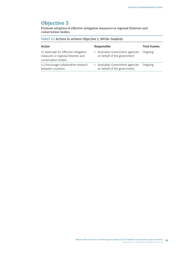## **Objective 5**

Promote adoption of effective mitigation measures in regional fisheries and conservation bodies.

| TABLE E5 Actions to achieve Objective 5, NPOA-Seabirds |  |  |
|--------------------------------------------------------|--|--|
|--------------------------------------------------------|--|--|

| Action                                                                                              | Responsible                                                             | Time frames |
|-----------------------------------------------------------------------------------------------------|-------------------------------------------------------------------------|-------------|
| 5.1 Advocate for effective mitigation<br>measures in regional fisheries and<br>conservation bodies. | • Australian Government agencies Ongoing<br>on behalf of the government |             |
| 5.2 Encourage collaborative research<br>between countries.                                          | • Australian Government agencies Ongoing<br>on behalf of the government |             |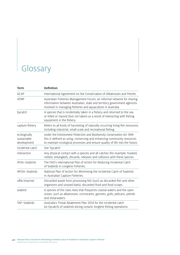## <span id="page-43-0"></span>Glossary

| Term                                       | <b>Definition</b>                                                                                                                                                                                                                 |
|--------------------------------------------|-----------------------------------------------------------------------------------------------------------------------------------------------------------------------------------------------------------------------------------|
| <b>ACAP</b>                                | International Agreement on the Conservation of Albatrosses and Petrels.                                                                                                                                                           |
| AFMF                                       | Australian Fisheries Management Forum, an informal network for sharing<br>information between Australian, state and territory government agencies<br>involved in managing fisheries and aquaculture in Australia.                 |
| bycatch                                    | A species that is incidentally taken in a fishery and returned to the sea<br>or killed or injured (but not taken) as a result of interacting with fishing<br>equipment in the fishery.                                            |
| capture fishery                            | Refers to all kinds of harvesting of naturally occurring living fish resources,<br>including industrial, small-scale and recreational fishing.                                                                                    |
| ecologically<br>sustainable<br>development | under the Environment Protection and Biodiversity Conservation Act 1999<br>this is defined as using, conserving and enhancing community resources<br>to maintain ecological processes and ensure quality of life into the future. |
| incidental catch                           | See 'bycatch'.                                                                                                                                                                                                                    |
| interaction                                | Any physical contact with a species and all catches (for example, hooked,<br>netted, entangled), discards, releases and collisions with these species.                                                                            |
| IPOA-Seabirds                              | The FAO's International Plan of Action for Reducing Incidental Catch<br>of Seabirds in Longline Fisheries.                                                                                                                        |
| NPOA-Seabirds                              | National Plan of Action for Minimising the Incidental Catch of Seabirds<br>in Australian Capture Fisheries.                                                                                                                       |
| offal (marine)                             | Discarded waste from processing fish (such as discarded fish and other<br>organisms and unused baits), discarded food and food scraps.                                                                                            |
| seabird                                    | A species of the class Aves that frequents coastal waters and the open<br>ocean, such as albatrosses, cormorants, gannets, gulls, pelicans, petrels<br>and shearwaters.                                                           |
| TAP-Seabirds                               | Australia's Threat Abatement Plan 2014 for the incidental catch<br>(or bycatch) of seabirds during oceanic longline fishing operations.                                                                                           |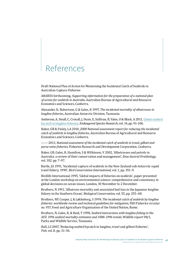## <span id="page-44-0"></span>References

Draft National Plan of Action for Minimising the Incidental Catch of Seabirds in Australian Capture Fisheries

ABARES forthcoming, *Supporting information for the preparation of a national plan of action for seabirds in Australia,* Australian Bureau of Agricultural and Resource Economics and Sciences, Canberra.

Alexander, K, Robertson, G & Gales, R 1997, *The incidental mortality of albatrosses in longline fisheries*, Australian Antarctic Division, Tasmania.

Anderson, A, Small, C, Croxall, J, Dunn, E, Sullivan, B, Yates, O & Black, A 2011, Global [seabird](http://www.int-res.com/abstracts/esr/v14/n2/p91-106/)  [bycatch in longline fisheries](http://www.int-res.com/abstracts/esr/v14/n2/p91-106/)*, Endangered Species Research*, vol. 14, pp. 91–106.

Baker, GB & Finley, LA 2010, *2008 National assessment report for reducing the incidental catch of seabirds in longline fisheries*, Australian Bureau of Agricultural and Resource Economics and Sciences, Canberra.

—— 2013, *National assessment of the incidental catch of seabirds in trawl, gillnet and purse-seine fisheries*, Fisheries Research and Development Corporation, Canberra.

Baker, GB, Gales, R, Hamilton, S & Wilkinson, V 2002, 'Albatrosses and petrels in Australia: a review of their conservation and management', *Emu-Austral Ornithology*, vol. 102, pp. 7–97.

Bartle, JA 1991, 'Incidental capture of seabirds in the New Zealand sub-Antarctic squid trawl fishery, 1990', *Bird Conservation International,* vol. 1, pp. 351–9.

Birdlife International 1995, 'Global impacts of fisheries on seabirds', paper presented at the London workshop on environmental science: comprehensive and consistency in global decisions on ocean issues, London, 30 November to 2 December.

Brothers, N 1991, 'Albatross mortality and associated bail loss in the Japanese longline fishery in the Southern Ocean', *Biological Conservation,* vol. 55, pp. 255–68.

Brothers, NP, Cooper, J, & Løkkeborg, S 1999, *The incidental catch of seabirds by longline fisheries: worldwide review and technical guidelines for mitigation*, FAO Fisheries circular no. 937, Food and Agriculture Organization of the United Nation, Rome.

Brothers, N, Gales, R, & Reid, T 1998, *Seabird interactions with longline fishing in the AFZ: 1996 seabird mortality estimates and 1988–1996 trends*, Wildlife report 98/1, Parks and Wildlife Service, Tasmania.

Bull, LS 2007, 'Reducing seabird bycatch in longline, trawl and gillnet fisheries', *Fish*, vol. 8, pp. 31–56.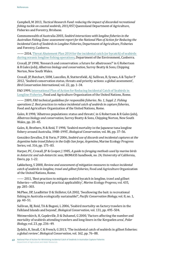Campbell, M 2013, *Tactical Research Fund: reducing the impact of discarded recreational fishing tackle on coastal seabirds, 2011/057*, Queensland Department of Agriculture, Fisheries and Forestry, Brisbane.

Commonwealth of Australia 2003, *Seabird interactions with longline fisheries in the Australian Fishing Zone: assessment report for the National Plan of Action for Reducing the Incidental Catch of Seabirds in Longline Fisheries*, Department of Agriculture, Fisheries and Forestry, Canberra.

- 2014, Threat Abatement Plan 2014 for the incidental catch (or bycatch) of seabirds [during oceanic longline fishing operations](http://www.antarctica.gov.au/environment/plants-and-animals/albatrosses-and-giant-petrels/threat-abatement-plan-seabirds), Department of the Environment, Canberra.

Croxall, JP 1998, 'Research and conservation: a future for albatrosses?' in G Robertson & R Gales (eds), *Albatross biology and conservation*, Surrey Beatty & Sons, Chipping Norton, New South Wales.

Croxall, JP, Butchart, SHM, Lascelles, B, Stattersfield, AJ, Sullivan, B, Symes, A & Taylor P 2012, 'Seabird conservation status, threats and priority actions: a global assessment', *Bird Conservation International*, vol. 22, pp. 1–34.

FAO 1999, [International Plan of Action for Reducing Incidental Catch of Seabirds in](http://www.fao.org/fishery/ipoa-seabirds/legal-text/en)  [Longline Fisheries,](http://www.fao.org/fishery/ipoa-seabirds/legal-text/en) Food and Agriculture Organization of the United Nations, Rome.

—— 2009, *FAO technical guidelines for responsible fisheries. No. 1, Suppl. 2. Fishing operations 2. Best practices to reduce incidental catch of seabirds in capture fisheries*, Food and Agriculture Organization of the United Nations, Rome.

Gales, R 1998, 'Albatross populations: status and threats', in G Robertson & R Gales (eds), *Albatross biology and conservation*, Surrey Beatty & Sons, Chipping Norton, New South Wales, pp. 20–45.

Gales, R, Brothers, N & Reid, T 1998, 'Seabird mortality in the Japanese tuna longline fishery around Australia, 1988–1995', *Biological Conservation*, vol. 86, pp. 37–56.

González-Zevallos, D & Yorio, P 2006, *Seabird use of discards and incidental captures at the Argentine hake trawl fishery in the Golfo San Jorge, Argentina*, Marine Ecology Progress Series, vol. 316, pp. 175–83.

Harper, PC, Croxall, JP & Cooper, J 1985, *A guide to foraging methods used by marine birds in Antarctic and sub-Antarctic seas*, BIOMASS handbook, no. 24, University of California, Davis, pp. 1–22.

Løkkeborg, S 2008, *Review and assessment of mitigation measures to reduce incidental catch of seabirds in longline, trawl and gillnet fisheries*, Food and Agriculture Organization of the United Nations, Rome.

—— 2011, 'Best practices to mitigate seabird bycatch in longline, trawl and gillnet fisheries—efficiency and practical applicability', *Marine Ecology Progress*, vol. 435, pp. 285–303.

McPhee, DP, Leadbitter D & Skilleter, GA 2002, 'Swallowing the bait: is recreational fishing in Australia ecologically sustainable?', *Pacific Conservation Biology*, vol. 8, no. 1, pp. 40–51.

Sullivan, BJ, Reid, TA & Bugoni, L 2006, 'Seabird mortality on factory trawlers in the Falkland Islands and beyond', *Biological Conservation*, vol. 131, pp. 495–504.

Weimerskirch, H, Capdeville, D & Duhamel, G 2000, 'Factors affecting the number and mortality of seabirds attending trawlers and long-liners in the Kerguelen area', *Polar Biology*, vol. 23, pp. 236–49.

Zydelis, R, Small, C & French, G 2013, 'The incidental catch of seabirds in gillnet fisheries: a global review', *Biological Conservation*, vol. 162, pp. 76–88.